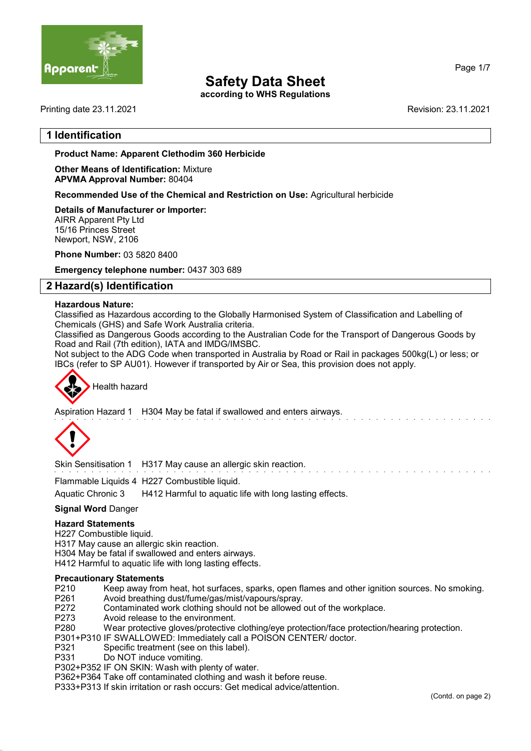

according to WHS Regulations

Printing date 23.11.2021 Revision: 23.11.2021

Page 1/7

## 1 Identification

#### Product Name: Apparent Clethodim 360 Herbicide

Other Means of Identification: Mixture APVMA Approval Number: 80404

Recommended Use of the Chemical and Restriction on Use: Agricultural herbicide

Details of Manufacturer or Importer: AIRR Apparent Pty Ltd 15/16 Princes Street Newport, NSW, 2106

Phone Number: 03 5820 8400

Emergency telephone number: 0437 303 689

## 2 Hazard(s) Identification

#### Hazardous Nature:

Classified as Hazardous according to the Globally Harmonised System of Classification and Labelling of Chemicals (GHS) and Safe Work Australia criteria.

Classified as Dangerous Goods according to the Australian Code for the Transport of Dangerous Goods by Road and Rail (7th edition), IATA and IMDG/IMSBC.

Not subject to the ADG Code when transported in Australia by Road or Rail in packages 500kg(L) or less; or IBCs (refer to SP AU01). However if transported by Air or Sea, this provision does not apply.



Aspiration Hazard 1 H304 May be fatal if swallowed and enters airways.



Skin Sensitisation 1 H317 May cause an allergic skin reaction.

Flammable Liquids 4 H227 Combustible liquid.

Aquatic Chronic 3 H412 Harmful to aquatic life with long lasting effects.

#### **Signal Word Danger**

#### Hazard Statements

H227 Combustible liquid.

H317 May cause an allergic skin reaction.

H304 May be fatal if swallowed and enters airways.

H412 Harmful to aquatic life with long lasting effects.

#### Precautionary Statements

- P210 Keep away from heat, hot surfaces, sparks, open flames and other ignition sources. No smoking.<br>P261 Avoid breathing dust/fume/gas/mist/vapours/spray.
- Avoid breathing dust/fume/gas/mist/vapours/spray.
- P272 Contaminated work clothing should not be allowed out of the workplace.<br>P273 Avoid release to the environment.
- P273 Avoid release to the environment.<br>P280 Wear protective gloves/protective
- Wear protective gloves/protective clothing/eye protection/face protection/hearing protection.
- P301+P310 IF SWALLOWED: Immediately call a POISON CENTER/ doctor.
- P321 Specific treatment (see on this label).
- P331 Do NOT induce vomiting.
- P302+P352 IF ON SKIN: Wash with plenty of water.

P362+P364 Take off contaminated clothing and wash it before reuse.

P333+P313 If skin irritation or rash occurs: Get medical advice/attention.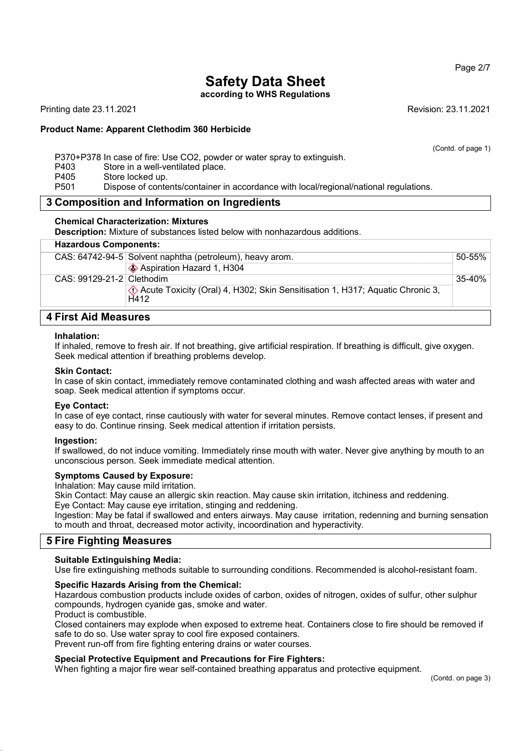according to WHS Regulations

Printing date 23.11.2021 Revision: 23.11.2021

#### Product Name: Apparent Clethodim 360 Herbicide

(Contd. of page 1)

P370+P378 In case of fire: Use CO2, powder or water spray to extinguish.

- P403 Store in a well-ventilated place.
- P405 Store locked up.<br>P501 Dispose of conte
	- Dispose of contents/container in accordance with local/regional/national regulations.

#### 3 Composition and Information on Ingredients

#### Chemical Characterization: Mixtures

Description: Mixture of substances listed below with nonhazardous additions.

## Hazardous Components:

|                           | CAS: 64742-94-5 Solvent naphtha (petroleum), heavy arom.                                | 50-55% |
|---------------------------|-----------------------------------------------------------------------------------------|--------|
|                           | ♦ Aspiration Hazard 1, H304                                                             |        |
| CAS: 99129-21-2 Clethodim |                                                                                         | 35-40% |
|                           | √ Acute Toxicity (Oral) 4, H302; Skin Sensitisation 1, H317; Aquatic Chronic 3,<br>H412 |        |
|                           |                                                                                         |        |

## 4 First Aid Measures

#### Inhalation:

If inhaled, remove to fresh air. If not breathing, give artificial respiration. If breathing is difficult, give oxygen. Seek medical attention if breathing problems develop.

#### Skin Contact:

In case of skin contact, immediately remove contaminated clothing and wash affected areas with water and soap. Seek medical attention if symptoms occur.

#### Eye Contact:

In case of eye contact, rinse cautiously with water for several minutes. Remove contact lenses, if present and easy to do. Continue rinsing. Seek medical attention if irritation persists.

#### Ingestion:

If swallowed, do not induce vomiting. Immediately rinse mouth with water. Never give anything by mouth to an unconscious person. Seek immediate medical attention.

#### Symptoms Caused by Exposure:

Inhalation: May cause mild irritation.

Skin Contact: May cause an allergic skin reaction. May cause skin irritation, itchiness and reddening. Eye Contact: May cause eye irritation, stinging and reddening.

Ingestion: May be fatal if swallowed and enters airways. May cause irritation, redenning and burning sensation to mouth and throat, decreased motor activity, incoordination and hyperactivity.

## 5 Fire Fighting Measures

#### Suitable Extinguishing Media:

Use fire extinguishing methods suitable to surrounding conditions. Recommended is alcohol-resistant foam.

### Specific Hazards Arising from the Chemical:

Hazardous combustion products include oxides of carbon, oxides of nitrogen, oxides of sulfur, other sulphur compounds, hydrogen cyanide gas, smoke and water.

#### Product is combustible.

Closed containers may explode when exposed to extreme heat. Containers close to fire should be removed if safe to do so. Use water spray to cool fire exposed containers. Prevent run-off from fire fighting entering drains or water courses.

Special Protective Equipment and Precautions for Fire Fighters:

#### When fighting a major fire wear self-contained breathing apparatus and protective equipment.

(Contd. on page 3)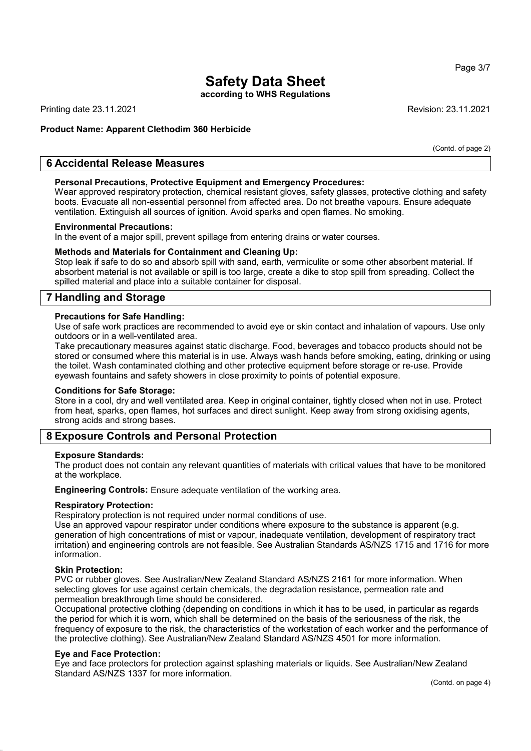according to WHS Regulations

Printing date 23.11.2021 Revision: 23.11.2021

## Product Name: Apparent Clethodim 360 Herbicide

(Contd. of page 2)

## 6 Accidental Release Measures

#### Personal Precautions, Protective Equipment and Emergency Procedures:

Wear approved respiratory protection, chemical resistant gloves, safety glasses, protective clothing and safety boots. Evacuate all non-essential personnel from affected area. Do not breathe vapours. Ensure adequate ventilation. Extinguish all sources of ignition. Avoid sparks and open flames. No smoking.

#### Environmental Precautions:

In the event of a major spill, prevent spillage from entering drains or water courses.

#### Methods and Materials for Containment and Cleaning Up:

Stop leak if safe to do so and absorb spill with sand, earth, vermiculite or some other absorbent material. If absorbent material is not available or spill is too large, create a dike to stop spill from spreading. Collect the spilled material and place into a suitable container for disposal.

## 7 Handling and Storage

#### Precautions for Safe Handling:

Use of safe work practices are recommended to avoid eye or skin contact and inhalation of vapours. Use only outdoors or in a well-ventilated area.

Take precautionary measures against static discharge. Food, beverages and tobacco products should not be stored or consumed where this material is in use. Always wash hands before smoking, eating, drinking or using the toilet. Wash contaminated clothing and other protective equipment before storage or re-use. Provide eyewash fountains and safety showers in close proximity to points of potential exposure.

#### Conditions for Safe Storage:

Store in a cool, dry and well ventilated area. Keep in original container, tightly closed when not in use. Protect from heat, sparks, open flames, hot surfaces and direct sunlight. Keep away from strong oxidising agents, strong acids and strong bases.

## 8 Exposure Controls and Personal Protection

#### Exposure Standards:

The product does not contain any relevant quantities of materials with critical values that have to be monitored at the workplace.

Engineering Controls: Ensure adequate ventilation of the working area.

#### Respiratory Protection:

Respiratory protection is not required under normal conditions of use.

Use an approved vapour respirator under conditions where exposure to the substance is apparent (e.g. generation of high concentrations of mist or vapour, inadequate ventilation, development of respiratory tract irritation) and engineering controls are not feasible. See Australian Standards AS/NZS 1715 and 1716 for more information.

#### Skin Protection:

PVC or rubber gloves. See Australian/New Zealand Standard AS/NZS 2161 for more information. When selecting gloves for use against certain chemicals, the degradation resistance, permeation rate and permeation breakthrough time should be considered.

Occupational protective clothing (depending on conditions in which it has to be used, in particular as regards the period for which it is worn, which shall be determined on the basis of the seriousness of the risk, the frequency of exposure to the risk, the characteristics of the workstation of each worker and the performance of the protective clothing). See Australian/New Zealand Standard AS/NZS 4501 for more information.

#### Eye and Face Protection:

Eye and face protectors for protection against splashing materials or liquids. See Australian/New Zealand Standard AS/NZS 1337 for more information.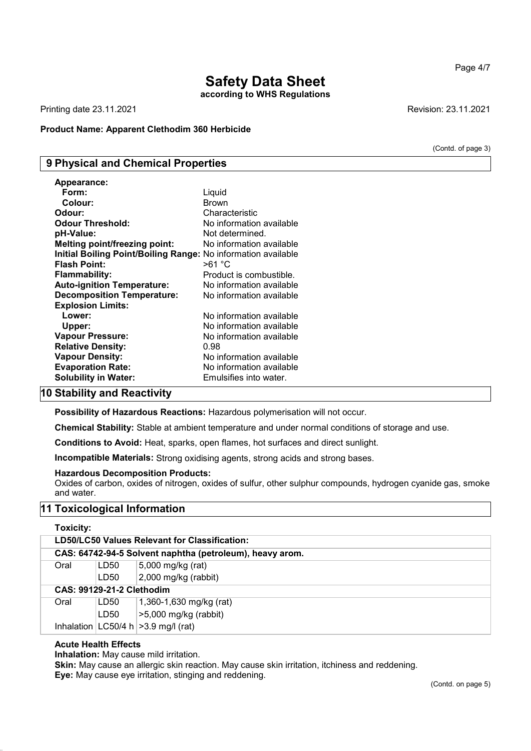## Safety Data Sheet according to WHS Regulations

Printing date 23.11.2021 Revision: 23.11.2021

### Product Name: Apparent Clethodim 360 Herbicide

(Contd. of page 3)

Page 4/7

## 9 Physical and Chemical Properties

| Form:<br>Liquid<br>Colour:<br><b>Brown</b><br>Odour:<br>Characteristic<br><b>Odour Threshold:</b><br>No information available<br>Not determined.<br>pH-Value:<br>No information available<br><b>Melting point/freezing point:</b><br>Initial Boiling Point/Boiling Range: No information available<br><b>Flash Point:</b><br>>61 °C<br>Product is combustible.<br><b>Flammability:</b><br><b>Auto-ignition Temperature:</b><br>No information available<br><b>Decomposition Temperature:</b><br>No information available<br><b>Explosion Limits:</b><br>No information available<br>Lower:<br>Upper:<br>No information available<br><b>Vapour Pressure:</b><br>No information available<br>0.98<br><b>Relative Density:</b><br>No information available<br><b>Vapour Density:</b><br><b>Evaporation Rate:</b><br>No information available | <b>Appearance:</b>          |                        |
|-------------------------------------------------------------------------------------------------------------------------------------------------------------------------------------------------------------------------------------------------------------------------------------------------------------------------------------------------------------------------------------------------------------------------------------------------------------------------------------------------------------------------------------------------------------------------------------------------------------------------------------------------------------------------------------------------------------------------------------------------------------------------------------------------------------------------------------------|-----------------------------|------------------------|
|                                                                                                                                                                                                                                                                                                                                                                                                                                                                                                                                                                                                                                                                                                                                                                                                                                           |                             |                        |
|                                                                                                                                                                                                                                                                                                                                                                                                                                                                                                                                                                                                                                                                                                                                                                                                                                           |                             |                        |
|                                                                                                                                                                                                                                                                                                                                                                                                                                                                                                                                                                                                                                                                                                                                                                                                                                           |                             |                        |
|                                                                                                                                                                                                                                                                                                                                                                                                                                                                                                                                                                                                                                                                                                                                                                                                                                           |                             |                        |
|                                                                                                                                                                                                                                                                                                                                                                                                                                                                                                                                                                                                                                                                                                                                                                                                                                           |                             |                        |
|                                                                                                                                                                                                                                                                                                                                                                                                                                                                                                                                                                                                                                                                                                                                                                                                                                           |                             |                        |
|                                                                                                                                                                                                                                                                                                                                                                                                                                                                                                                                                                                                                                                                                                                                                                                                                                           |                             |                        |
|                                                                                                                                                                                                                                                                                                                                                                                                                                                                                                                                                                                                                                                                                                                                                                                                                                           |                             |                        |
|                                                                                                                                                                                                                                                                                                                                                                                                                                                                                                                                                                                                                                                                                                                                                                                                                                           |                             |                        |
|                                                                                                                                                                                                                                                                                                                                                                                                                                                                                                                                                                                                                                                                                                                                                                                                                                           |                             |                        |
|                                                                                                                                                                                                                                                                                                                                                                                                                                                                                                                                                                                                                                                                                                                                                                                                                                           |                             |                        |
|                                                                                                                                                                                                                                                                                                                                                                                                                                                                                                                                                                                                                                                                                                                                                                                                                                           |                             |                        |
|                                                                                                                                                                                                                                                                                                                                                                                                                                                                                                                                                                                                                                                                                                                                                                                                                                           |                             |                        |
|                                                                                                                                                                                                                                                                                                                                                                                                                                                                                                                                                                                                                                                                                                                                                                                                                                           |                             |                        |
|                                                                                                                                                                                                                                                                                                                                                                                                                                                                                                                                                                                                                                                                                                                                                                                                                                           |                             |                        |
|                                                                                                                                                                                                                                                                                                                                                                                                                                                                                                                                                                                                                                                                                                                                                                                                                                           |                             |                        |
|                                                                                                                                                                                                                                                                                                                                                                                                                                                                                                                                                                                                                                                                                                                                                                                                                                           |                             |                        |
|                                                                                                                                                                                                                                                                                                                                                                                                                                                                                                                                                                                                                                                                                                                                                                                                                                           |                             |                        |
|                                                                                                                                                                                                                                                                                                                                                                                                                                                                                                                                                                                                                                                                                                                                                                                                                                           | <b>Solubility in Water:</b> | Emulsifies into water. |

## 10 Stability and Reactivity

Possibility of Hazardous Reactions: Hazardous polymerisation will not occur.

Chemical Stability: Stable at ambient temperature and under normal conditions of storage and use.

Conditions to Avoid: Heat, sparks, open flames, hot surfaces and direct sunlight.

Incompatible Materials: Strong oxidising agents, strong acids and strong bases.

#### Hazardous Decomposition Products:

Oxides of carbon, oxides of nitrogen, oxides of sulfur, other sulphur compounds, hydrogen cyanide gas, smoke and water.

## 11 Toxicological Information

#### Toxicity:

| LD50/LC50 Values Relevant for Classification:            |      |                                          |
|----------------------------------------------------------|------|------------------------------------------|
| CAS: 64742-94-5 Solvent naphtha (petroleum), heavy arom. |      |                                          |
| Oral                                                     | LD50 | 5,000 mg/kg (rat)                        |
|                                                          | LD50 | $2,000$ mg/kg (rabbit)                   |
| <b>CAS: 99129-21-2 Clethodim</b>                         |      |                                          |
| Oral                                                     | LD50 | 1,360-1,630 mg/kg (rat)                  |
|                                                          | LD50 | $>5,000$ mg/kg (rabbit)                  |
|                                                          |      | Inhalation $ LC50/4 h  > 3.9$ mg/l (rat) |

## Acute Health Effects

Inhalation: May cause mild irritation.

Skin: May cause an allergic skin reaction. May cause skin irritation, itchiness and reddening. Eye: May cause eye irritation, stinging and reddening.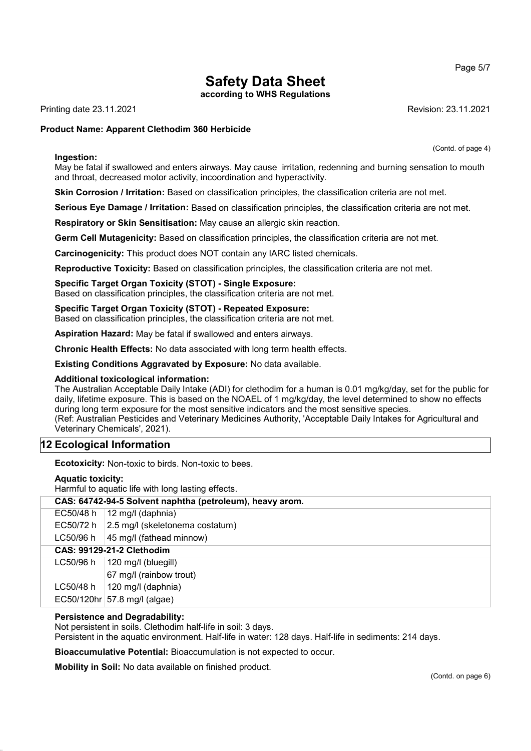according to WHS Regulations

Printing date 23.11.2021 Revision: 23.11.2021

## Product Name: Apparent Clethodim 360 Herbicide

#### Ingestion:

(Contd. of page 4)

May be fatal if swallowed and enters airways. May cause irritation, redenning and burning sensation to mouth and throat, decreased motor activity, incoordination and hyperactivity.

Skin Corrosion / Irritation: Based on classification principles, the classification criteria are not met.

Serious Eye Damage / Irritation: Based on classification principles, the classification criteria are not met.

Respiratory or Skin Sensitisation: May cause an allergic skin reaction.

Germ Cell Mutagenicity: Based on classification principles, the classification criteria are not met.

Carcinogenicity: This product does NOT contain any IARC listed chemicals.

Reproductive Toxicity: Based on classification principles, the classification criteria are not met.

## Specific Target Organ Toxicity (STOT) - Single Exposure:

Based on classification principles, the classification criteria are not met.

Specific Target Organ Toxicity (STOT) - Repeated Exposure: Based on classification principles, the classification criteria are not met.

Aspiration Hazard: May be fatal if swallowed and enters airways.

Chronic Health Effects: No data associated with long term health effects.

Existing Conditions Aggravated by Exposure: No data available.

#### Additional toxicological information:

The Australian Acceptable Daily Intake (ADI) for clethodim for a human is 0.01 mg/kg/day, set for the public for daily, lifetime exposure. This is based on the NOAEL of 1 mg/kg/day, the level determined to show no effects during long term exposure for the most sensitive indicators and the most sensitive species. (Ref: Australian Pesticides and Veterinary Medicines Authority, 'Acceptable Daily Intakes for Agricultural and Veterinary Chemicals', 2021).

## 12 Ecological Information

Ecotoxicity: Non-toxic to birds. Non-toxic to bees.

#### Aquatic toxicity:

Harmful to aquatic life with long lasting effects.

| CAS: 64742-94-5 Solvent naphtha (petroleum), heavy arom. |                                            |  |  |
|----------------------------------------------------------|--------------------------------------------|--|--|
| EC50/48 h                                                | 12 mg/l (daphnia)                          |  |  |
| EC50/72 h                                                | $ 2.5 \text{ mg}/l$ (skeletonema costatum) |  |  |
| LC50/96 h                                                | 45 mg/l (fathead minnow)                   |  |  |
| <b>CAS: 99129-21-2 Clethodim</b>                         |                                            |  |  |
| LC50/96 h                                                | 120 mg/l (bluegill)                        |  |  |
|                                                          | 67 mg/l (rainbow trout)                    |  |  |
| LC50/48 h                                                | 120 mg/l (daphnia)                         |  |  |
|                                                          | EC50/120hr 57.8 mg/l (algae)               |  |  |

## Persistence and Degradability:

Not persistent in soils. Clethodim half-life in soil: 3 days.

Persistent in the aquatic environment. Half-life in water: 128 days. Half-life in sediments: 214 days.

Bioaccumulative Potential: Bioaccumulation is not expected to occur.

Mobility in Soil: No data available on finished product.

Page 5/7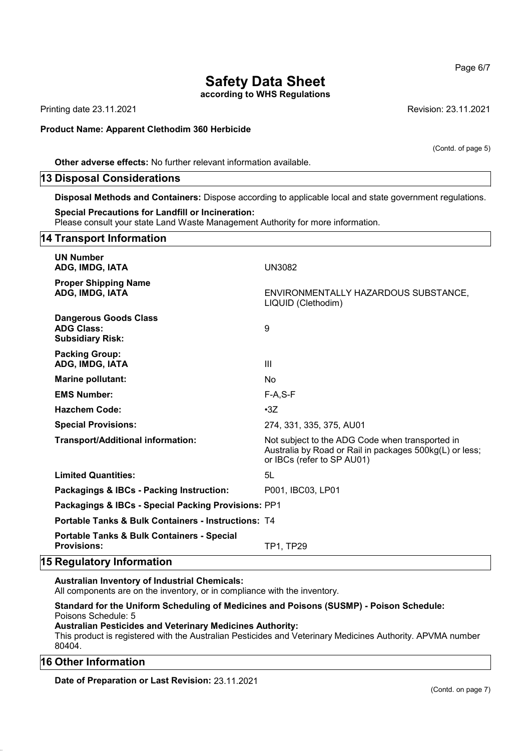according to WHS Regulations

Printing date 23.11.2021 Revision: 23.11.2021

#### Product Name: Apparent Clethodim 360 Herbicide

(Contd. of page 5)

Other adverse effects: No further relevant information available.

### 13 Disposal Considerations

Disposal Methods and Containers: Dispose according to applicable local and state government regulations.

#### Special Precautions for Landfill or Incineration:

Please consult your state Land Waste Management Authority for more information.

## 14 Transport Information UN Number ADG, IMDG, IATA UN3082 Proper Shipping Name ADG, IMDG, IATA ENVIRONMENTALLY HAZARDOUS SUBSTANCE, LIQUID (Clethodim) Dangerous Goods Class ADG Class: 9 Subsidiary Risk: Packing Group: ADG, IMDG, IATA III Marine pollutant: No EMS Number: F-A,S-F Hazchem Code: •3Z Special Provisions: 274, 331, 335, 375, AU01 Transport/Additional information: Not subject to the ADG Code when transported in Australia by Road or Rail in packages 500kg(L) or less; or IBCs (refer to SP AU01) Limited Quantities: 5L Packagings & IBCs - Packing Instruction: P001, IBC03, LP01 Packagings & IBCs - Special Packing Provisions: PP1 Portable Tanks & Bulk Containers - Instructions: T4 Portable Tanks & Bulk Containers - Special Provisions: TP1, TP29

## 15 Regulatory Information

#### Australian Inventory of Industrial Chemicals:

All components are on the inventory, or in compliance with the inventory.

## Standard for the Uniform Scheduling of Medicines and Poisons (SUSMP) - Poison Schedule: Poisons Schedule: 5

#### Australian Pesticides and Veterinary Medicines Authority:

This product is registered with the Australian Pesticides and Veterinary Medicines Authority. APVMA number 80404.

## 16 Other Information

Date of Preparation or Last Revision: 23.11.2021

(Contd. on page 7)

Page 6/7